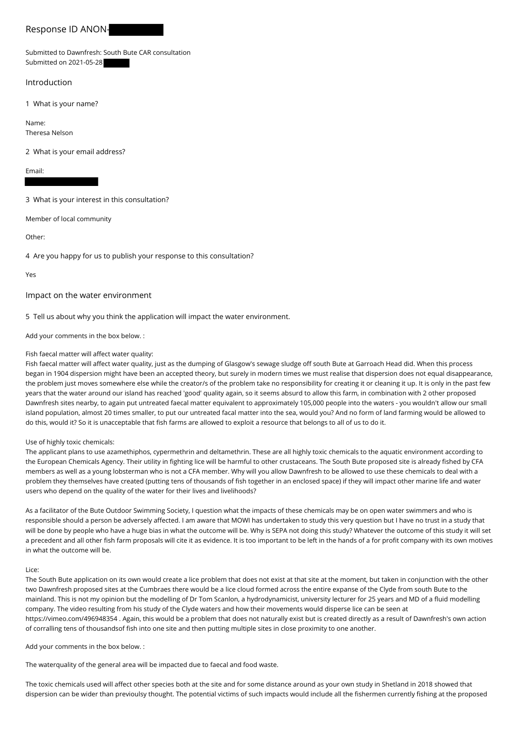# Response ID ANON-

## Submitted to Dawnfresh: South Bute CAR consultation Submitted on 2021-05-28

## Introduction

1 What is your name?

Name: Theresa Nelson

2 What is your email address?

Email:

3 What is your interest in this consultation?

Member of local community

Other:

4 Are you happy for us to publish your response to this consultation?

Yes

Impact on the water environment

5 Tell us about why you think the application will impact the water environment.

Add your comments in the box below. :

### Fish faecal matter will affect water quality:

Fish faecal matter will affect water quality, just as the dumping of Glasgow's sewage sludge off south Bute at Garroach Head did. When this process began in 1904 dispersion might have been an accepted theory, but surely in modern times we must realise that dispersion does not equal disappearance, the problem just moves somewhere else while the creator/s of the problem take no responsibility for creating it or cleaning it up. It is only in the past few years that the water around our island has reached 'good' quality again, so it seems absurd to allow this farm, in combination with 2 other proposed Dawnfresh sites nearby, to again put untreated faecal matter equivalent to approximately 105,000 people into the waters - you wouldn't allow our small island population, almost 20 times smaller, to put our untreated facal matter into the sea, would you? And no form of land farming would be allowed to do this, would it? So it is unacceptable that fish farms are allowed to exploit a resource that belongs to all of us to do it.

#### Use of highly toxic chemicals:

The applicant plans to use azamethiphos, cypermethrin and deltamethrin. These are all highly toxic chemicals to the aquatic environment according to the European Chemicals Agency. Their utility in fighting lice will be harmful to other crustaceans. The South Bute proposed site is already fished by CFA members as well as a young lobsterman who is not a CFA member. Why will you allow Dawnfresh to be allowed to use these chemicals to deal with a problem they themselves have created (putting tens of thousands of fish together in an enclosed space) if they will impact other marine life and water users who depend on the quality of the water for their lives and livelihoods?

As a facilitator of the Bute Outdoor Swimming Society, I question what the impacts of these chemicals may be on open water swimmers and who is responsible should a person be adversely affected. I am aware that MOWI has undertaken to study this very question but I have no trust in a study that will be done by people who have a huge bias in what the outcome will be. Why is SEPA not doing this study? Whatever the outcome of this study it will set a precedent and all other fish farm proposals will cite it as evidence. It is too important to be left in the hands of a for profit company with its own motives in what the outcome will be.

#### Lice:

The South Bute application on its own would create a lice problem that does not exist at that site at the moment, but taken in conjunction with the other two Dawnfresh proposed sites at the Cumbraes there would be a lice cloud formed across the entire expanse of the Clyde from south Bute to the mainland. This is not my opinion but the modelling of Dr Tom Scanlon, a hydrodynamicist, university lecturer for 25 years and MD of a fluid modelling company. The video resulting from his study of the Clyde waters and how their movements would disperse lice can be seen at https://vimeo.com/496948354 . Again, this would be a problem that does not naturally exist but is created directly as a result of Dawnfresh's own action of corralling tens of thousandsof fish into one site and then putting multiple sites in close proximity to one another.

Add your comments in the box below. :

The waterquality of the general area will be impacted due to faecal and food waste.

The toxic chemicals used will affect other species both at the site and for some distance around as your own study in Shetland in 2018 showed that dispersion can be wider than previoulsy thought. The potential victims of such impacts would include all the fishermen currently fishing at the proposed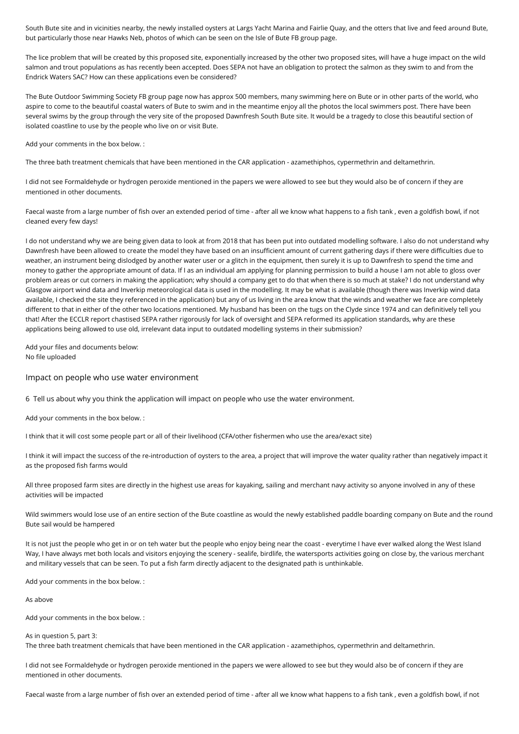South Bute site and in vicinities nearby, the newly installed oysters at Largs Yacht Marina and Fairlie Quay, and the otters that live and feed around Bute, but particularly those near Hawks Neb, photos of which can be seen on the Isle of Bute FB group page.

The lice problem that will be created by this proposed site, exponentially increased by the other two proposed sites, will have a huge impact on the wild salmon and trout populations as has recently been accepted. Does SEPA not have an obligation to protect the salmon as they swim to and from the Endrick Waters SAC? How can these applications even be considered?

The Bute Outdoor Swimming Society FB group page now has approx 500 members, many swimming here on Bute or in other parts of the world, who aspire to come to the beautiful coastal waters of Bute to swim and in the meantime enjoy all the photos the local swimmers post. There have been several swims by the group through the very site of the proposed Dawnfresh South Bute site. It would be a tragedy to close this beautiful section of isolated coastline to use by the people who live on or visit Bute.

Add your comments in the box below. :

The three bath treatment chemicals that have been mentioned in the CAR application - azamethiphos, cypermethrin and deltamethrin.

I did not see Formaldehyde or hydrogen peroxide mentioned in the papers we were allowed to see but they would also be of concern if they are mentioned in other documents.

Faecal waste from a large number of fish over an extended period of time - after all we know what happens to a fish tank , even a goldfish bowl, if not cleaned every few days!

I do not understand why we are being given data to look at from 2018 that has been put into outdated modelling software. I also do not understand why Dawnfresh have been allowed to create the model they have based on an insufficient amount of current gathering days if there were difficulties due to weather, an instrument being dislodged by another water user or a glitch in the equipment, then surely it is up to Dawnfresh to spend the time and money to gather the appropriate amount of data. If I as an individual am applying for planning permission to build a house I am not able to gloss over problem areas or cut corners in making the application; why should a company get to do that when there is so much at stake? I do not understand why Glasgow airport wind data and Inverkip meteorological data is used in the modelling. It may be what is available (though there was Inverkip wind data available, I checked the site they referenced in the application) but any of us living in the area know that the winds and weather we face are completely different to that in either of the other two locations mentioned. My husband has been on the tugs on the Clyde since 1974 and can definitively tell you that! After the ECCLR report chastised SEPA rather rigorously for lack of oversight and SEPA reformed its application standards, why are these applications being allowed to use old, irrelevant data input to outdated modelling systems in their submission?

Add your files and documents below: No file uploaded

## Impact on people who use water environment

6 Tell us about why you think the application will impact on people who use the water environment.

Add your comments in the box below. :

I think that it will cost some people part or all of their livelihood (CFA/other fishermen who use the area/exact site)

I think it will impact the success of the re-introduction of oysters to the area, a project that will improve the water quality rather than negatively impact it as the proposed fish farms would

All three proposed farm sites are directly in the highest use areas for kayaking, sailing and merchant navy activity so anyone involved in any of these activities will be impacted

Wild swimmers would lose use of an entire section of the Bute coastline as would the newly established paddle boarding company on Bute and the round Bute sail would be hampered

It is not just the people who get in or on teh water but the people who enjoy being near the coast - everytime I have ever walked along the West Island Way, I have always met both locals and visitors enjoying the scenery - sealife, birdlife, the watersports activities going on close by, the various merchant and military vessels that can be seen. To put a fish farm directly adjacent to the designated path is unthinkable.

Add your comments in the box below. :

As above

Add your comments in the box below. :

As in question 5, part 3: The three bath treatment chemicals that have been mentioned in the CAR application - azamethiphos, cypermethrin and deltamethrin.

I did not see Formaldehyde or hydrogen peroxide mentioned in the papers we were allowed to see but they would also be of concern if they are mentioned in other documents.

Faecal waste from a large number of fish over an extended period of time - after all we know what happens to a fish tank , even a goldfish bowl, if not